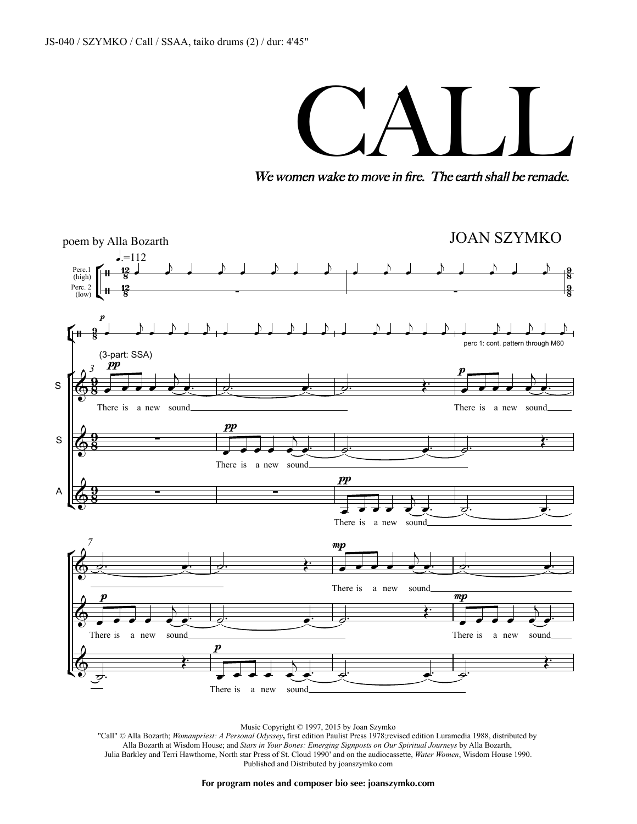## CALL

We women wake to move in fire. The earth shall be remade.



Music Copyright © 1997, 2015 by Joan Szymko

"Call" © Alla Bozarth; *Womanpriest: A Personal Odyssey***,** first edition Paulist Press 1978;revised edition Luramedia 1988, distributed by Alla Bozarth at Wisdom House; and *Stars in Your Bones: Emerging Signposts on Our Spiritual Journeys* by Alla Bozarth, Julia Barkley and Terri Hawthorne, North star Press of St. Cloud 1990' and on the audiocassette, *Water Women*, Wisdom House 1990. Published and Distributed by joanszymko.com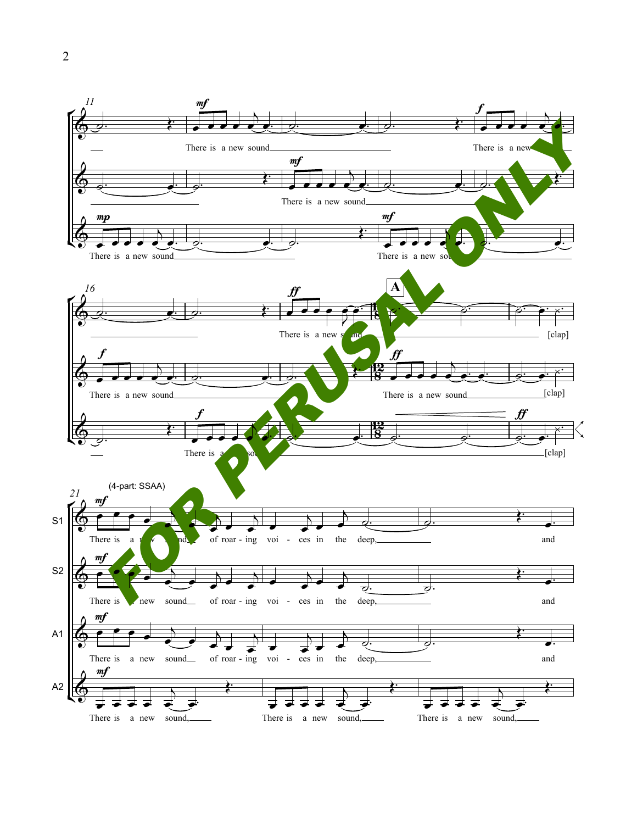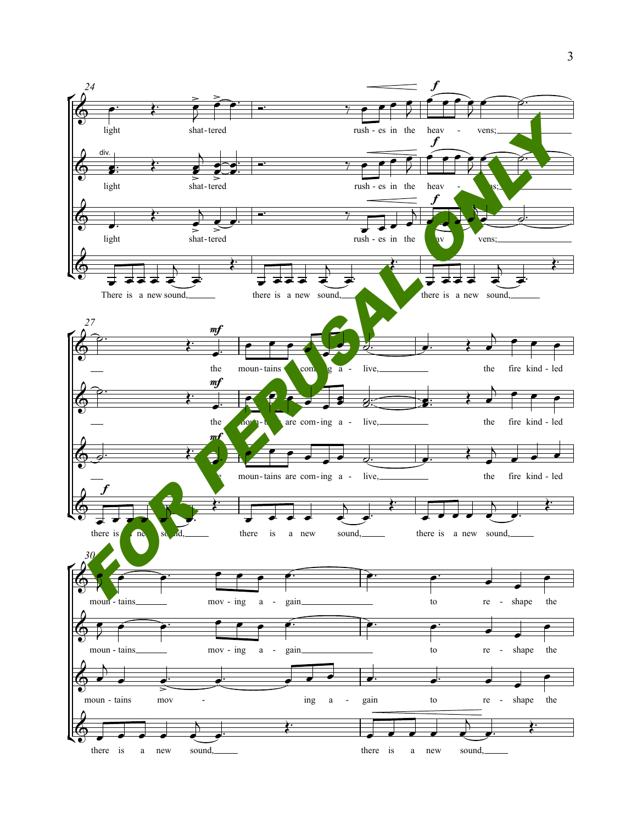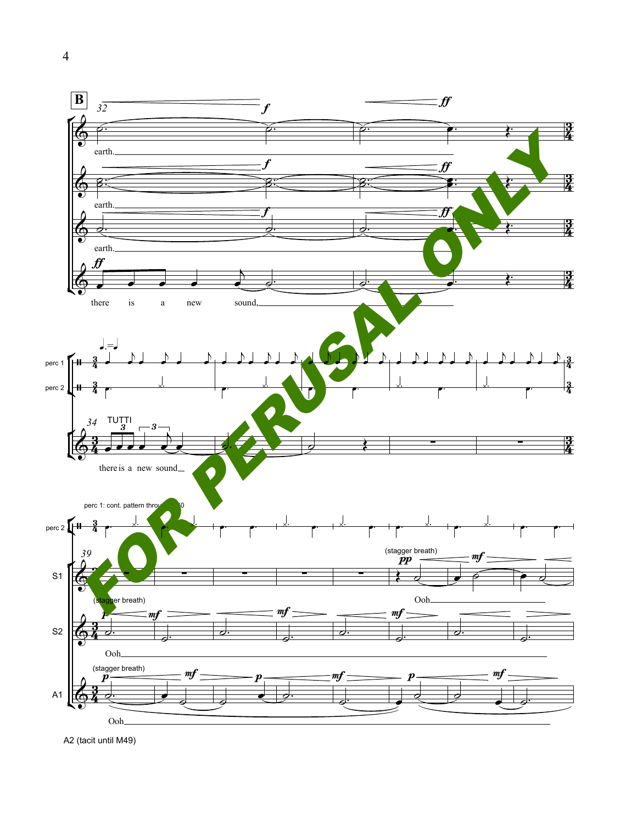

A2 (tacit until M49)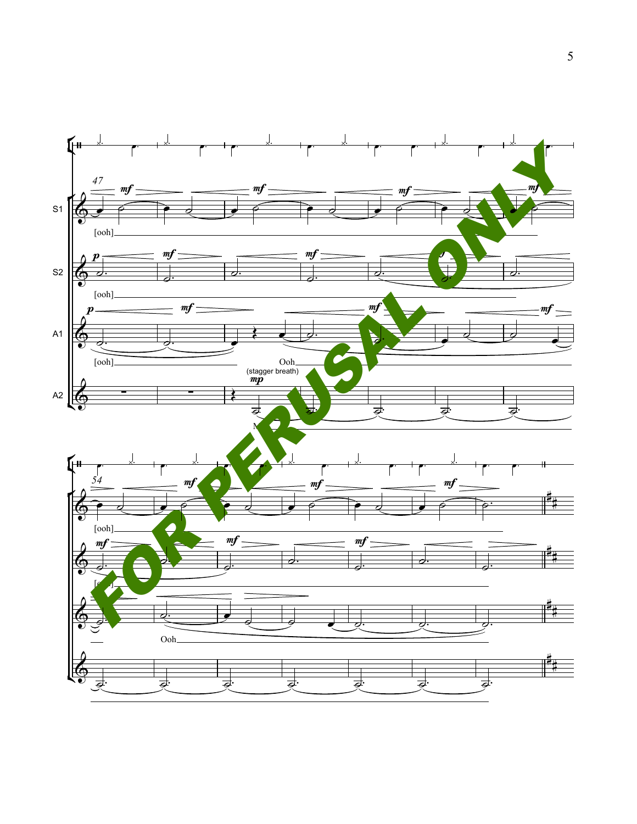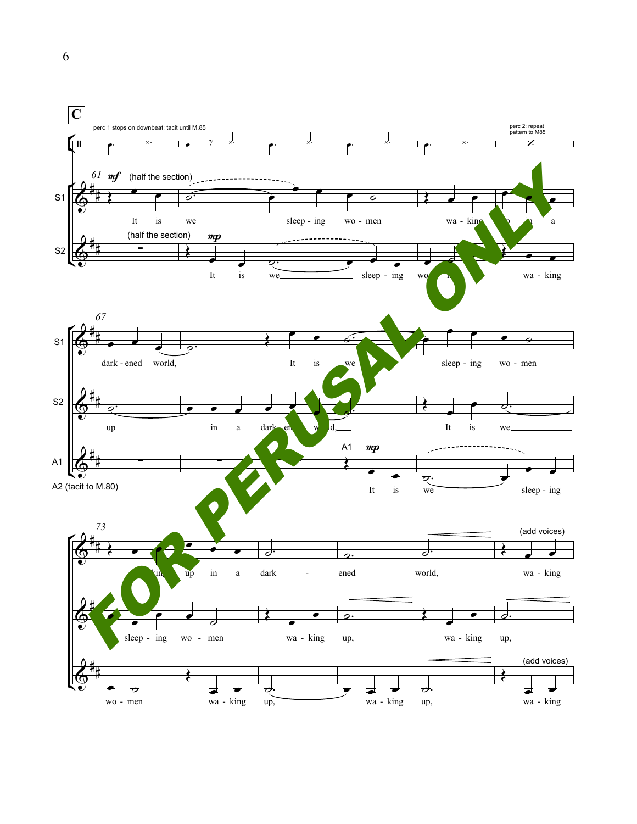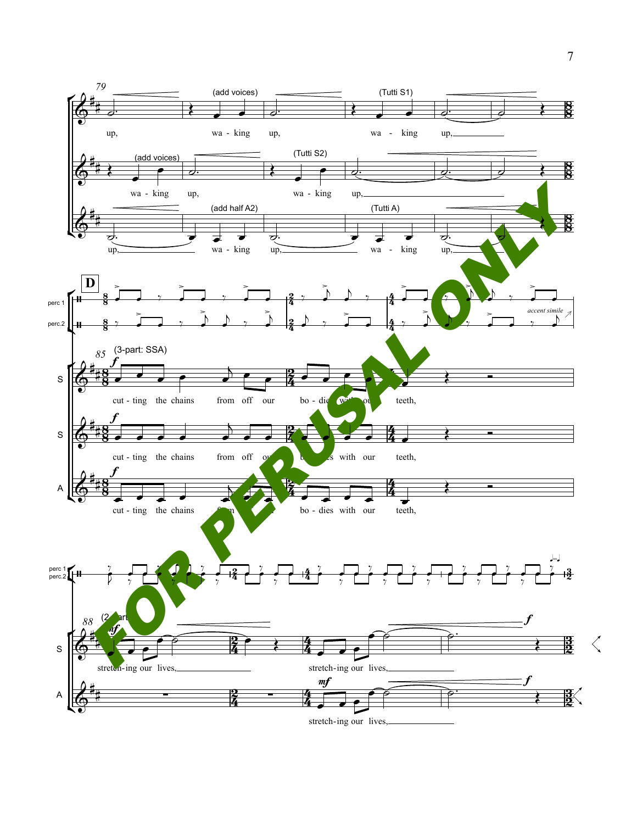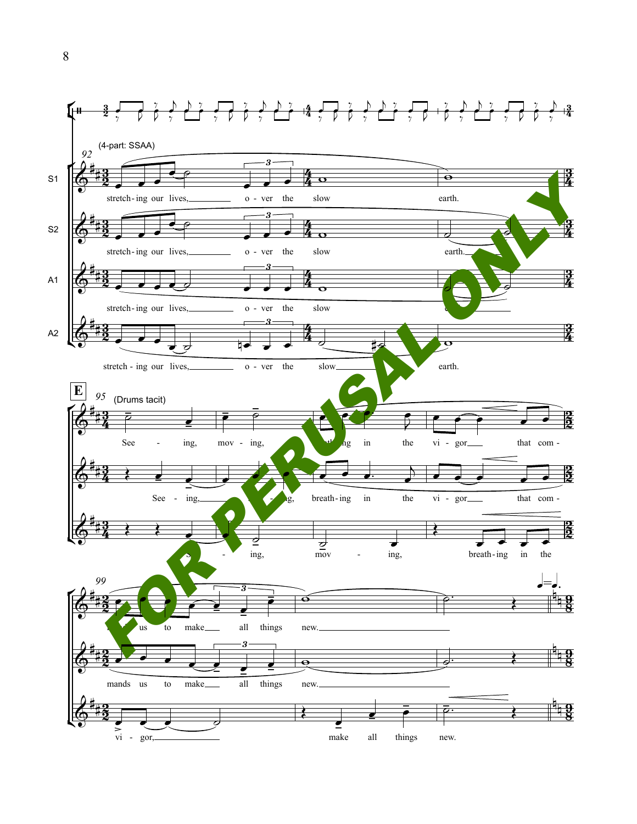

8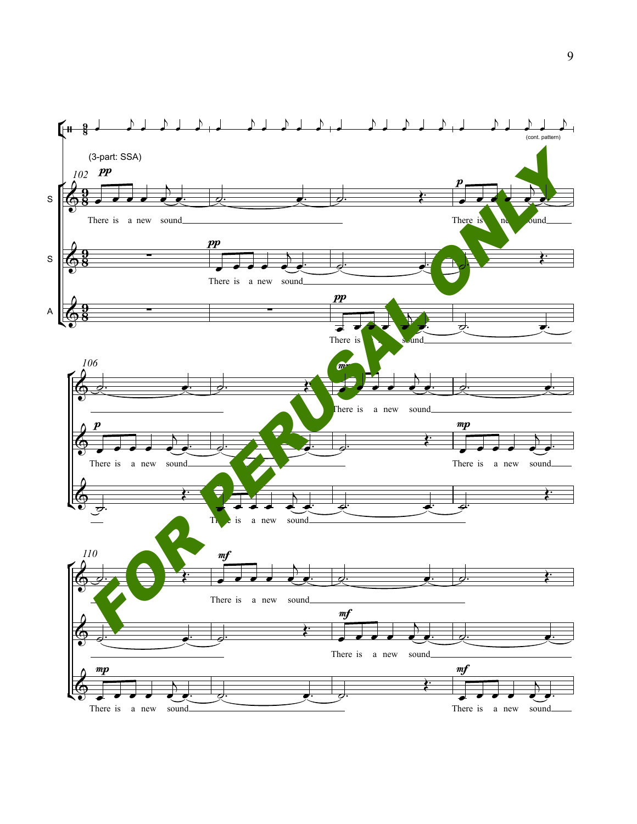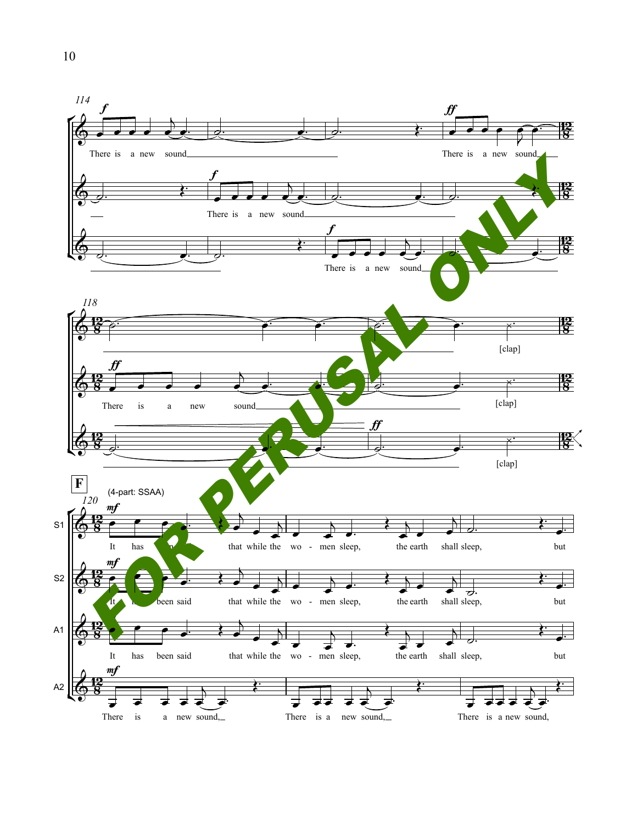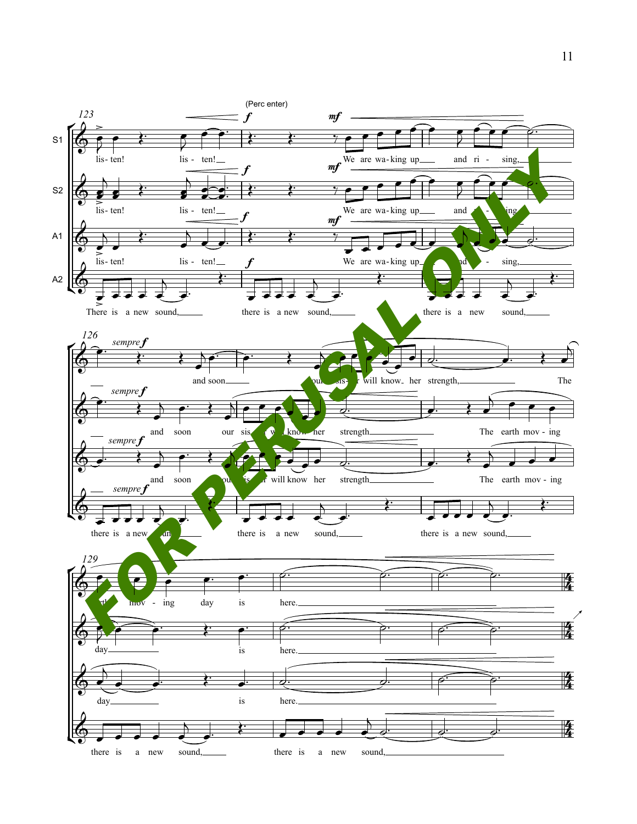